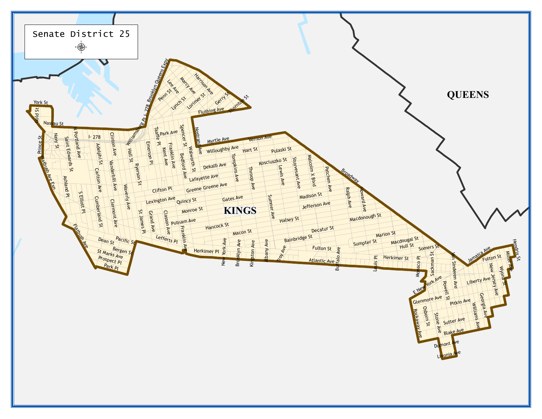